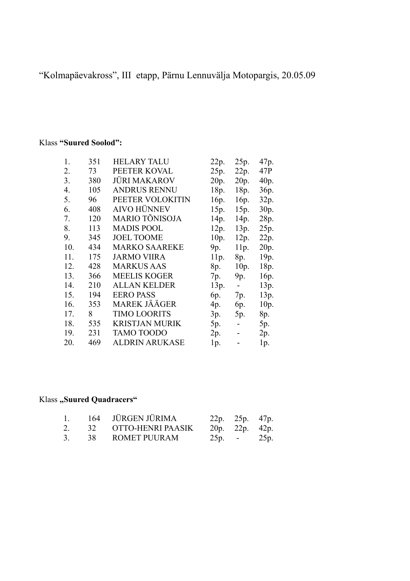"Kolmapäevakross", III etapp, Pärnu Lennuvälja Motopargis, 20.05.09

## Klass **"Suured Soolod":**

| 1.  | 351 | <b>HELARY TALU</b>    | 22p. | 25p.           | 47p.              |
|-----|-----|-----------------------|------|----------------|-------------------|
| 2.  | 73  | PEETER KOVAL          | 25p. | 22p.           | 47P               |
| 3.  | 380 | <b>JÜRI MAKAROV</b>   | 20p. | 20p.           | 40 <sub>p</sub> . |
| 4.  | 105 | <b>ANDRUS RENNU</b>   | 18p. | 18p.           | 36p.              |
| 5.  | 96  | PEETER VOLOKITIN      | 16p. | 16p.           | 32p.              |
| 6.  | 408 | <b>AIVO HÜNNEV</b>    | 15p. | 15p.           | 30p.              |
| 7.  | 120 | <b>MARIO TÕNISOJA</b> | 14p. | 14p.           | 28p.              |
| 8.  | 113 | <b>MADIS POOL</b>     | 12p. | 13p.           | 25p.              |
| 9.  | 345 | <b>JOEL TOOME</b>     | 10p. | 12p.           | 22p.              |
| 10. | 434 | <b>MARKO SAAREKE</b>  | 9p.  | 11p.           | 20 <sub>p</sub> . |
| 11. | 175 | <b>JARMO VIIRA</b>    | 11p. | 8p.            | 19p.              |
| 12. | 428 | <b>MARKUS AAS</b>     | 8p.  | 10p.           | 18p.              |
| 13. | 366 | <b>MEELIS KOGER</b>   | 7p.  | 9p.            | 16p.              |
| 14. | 210 | <b>ALLAN KELDER</b>   | 13p. | $\blacksquare$ | 13p.              |
| 15. | 194 | <b>EERO PASS</b>      | 6p.  | 7p.            | 13p.              |
| 16. | 353 | <b>MAREK JÄÄGER</b>   | 4p.  | 6p.            | 10p.              |
| 17. | 8   | <b>TIMO LOORITS</b>   | 3p.  | 5p.            | 8p.               |
| 18. | 535 | <b>KRISTJAN MURIK</b> | 5p.  |                | 5p.               |
| 19. | 231 | <b>TAMO TOODO</b>     | 2p.  |                | 2p.               |
| 20. | 469 | <b>ALDRIN ARUKASE</b> | 1p.  |                | 1p.               |

## Klass "Suured Quadracers"

|                |    | 164 JÜRGEN JÜRIMA    | 22p. 25p. 47p.    |  |
|----------------|----|----------------------|-------------------|--|
|                |    | 32 OTTO-HENRI PAASIK | 20p. 22p. $42p$ . |  |
| 3 <sub>1</sub> | 38 | <b>ROMET PUURAM</b>  | $25p. -25p.$      |  |